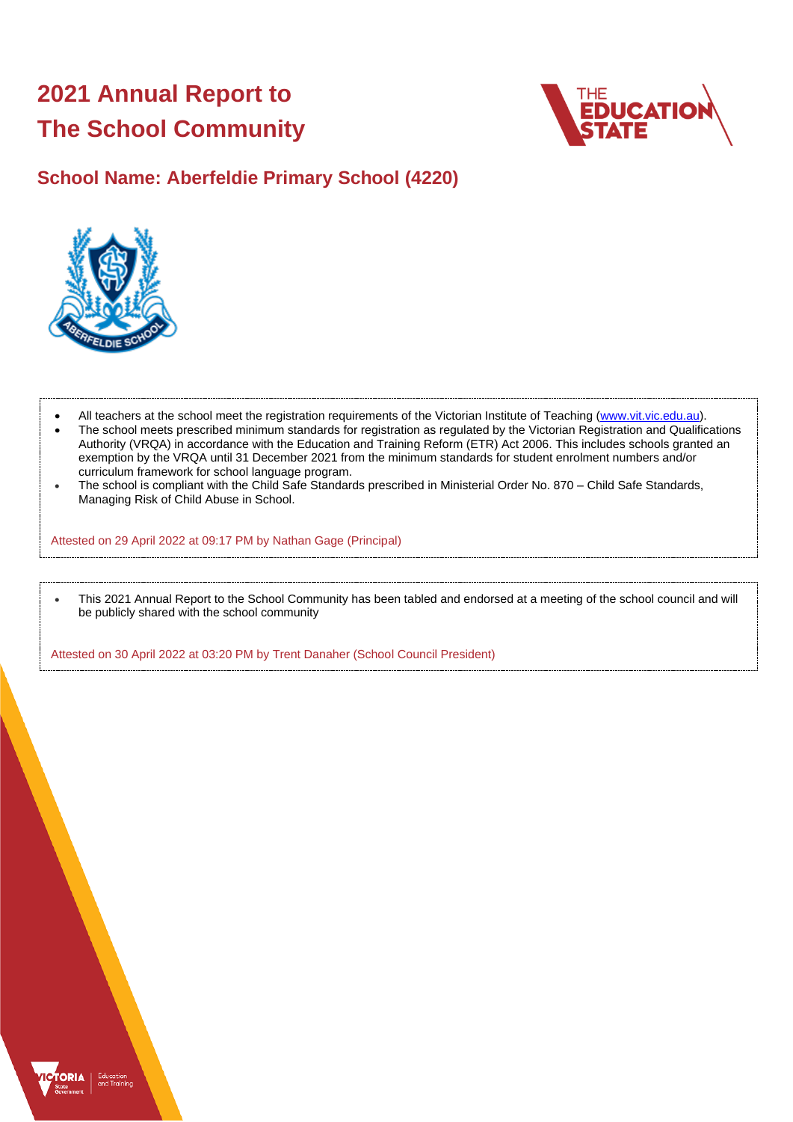# **2021 Annual Report to The School Community**



## **School Name: Aberfeldie Primary School (4220)**



- All teachers at the school meet the registration requirements of the Victorian Institute of Teaching [\(www.vit.vic.edu.au\)](https://www.vit.vic.edu.au/).
- The school meets prescribed minimum standards for registration as regulated by the Victorian Registration and Qualifications Authority (VRQA) in accordance with the Education and Training Reform (ETR) Act 2006. This includes schools granted an exemption by the VRQA until 31 December 2021 from the minimum standards for student enrolment numbers and/or curriculum framework for school language program.
- The school is compliant with the Child Safe Standards prescribed in Ministerial Order No. 870 Child Safe Standards, Managing Risk of Child Abuse in School.

Attested on 29 April 2022 at 09:17 PM by Nathan Gage (Principal)

• This 2021 Annual Report to the School Community has been tabled and endorsed at a meeting of the school council and will be publicly shared with the school community

Attested on 30 April 2022 at 03:20 PM by Trent Danaher (School Council President)

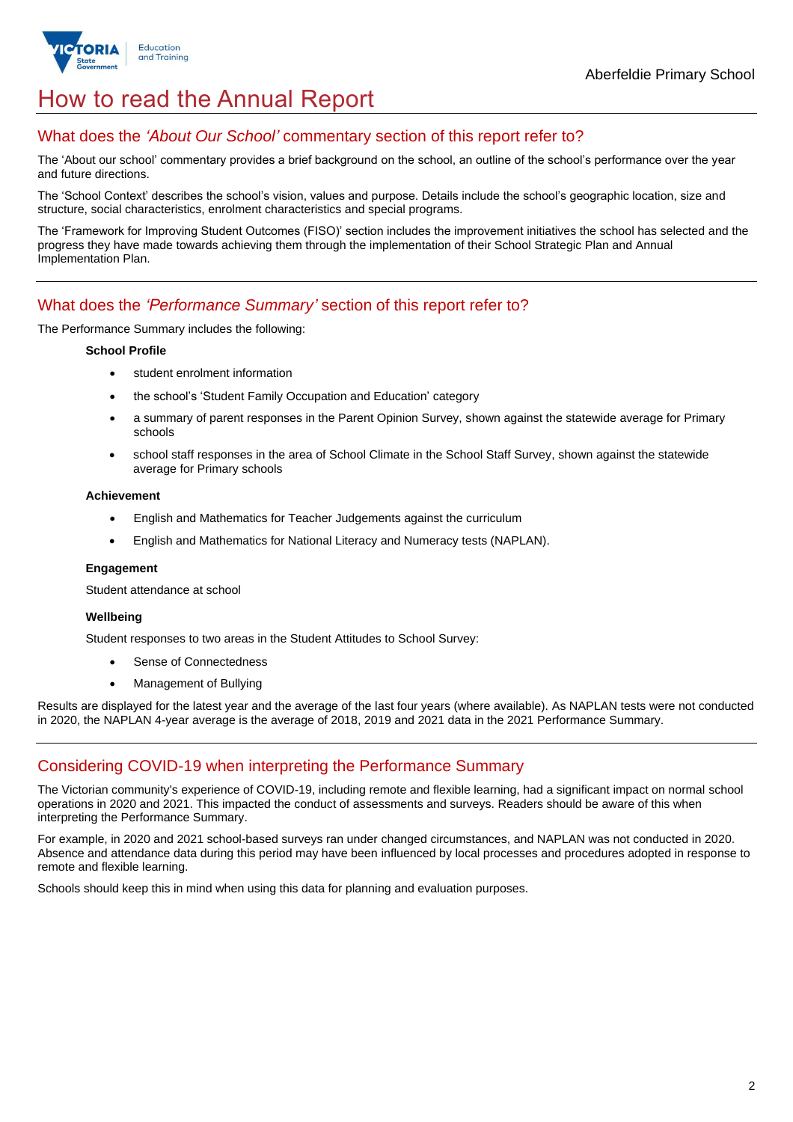

## How to read the Annual Report

### What does the *'About Our School'* commentary section of this report refer to?

The 'About our school' commentary provides a brief background on the school, an outline of the school's performance over the year and future directions.

The 'School Context' describes the school's vision, values and purpose. Details include the school's geographic location, size and structure, social characteristics, enrolment characteristics and special programs.

The 'Framework for Improving Student Outcomes (FISO)' section includes the improvement initiatives the school has selected and the progress they have made towards achieving them through the implementation of their School Strategic Plan and Annual Implementation Plan.

### What does the *'Performance Summary'* section of this report refer to?

The Performance Summary includes the following:

#### **School Profile**

- student enrolment information
- the school's 'Student Family Occupation and Education' category
- a summary of parent responses in the Parent Opinion Survey, shown against the statewide average for Primary schools
- school staff responses in the area of School Climate in the School Staff Survey, shown against the statewide average for Primary schools

#### **Achievement**

- English and Mathematics for Teacher Judgements against the curriculum
- English and Mathematics for National Literacy and Numeracy tests (NAPLAN).

#### **Engagement**

Student attendance at school

#### **Wellbeing**

Student responses to two areas in the Student Attitudes to School Survey:

- Sense of Connectedness
- Management of Bullying

Results are displayed for the latest year and the average of the last four years (where available). As NAPLAN tests were not conducted in 2020, the NAPLAN 4-year average is the average of 2018, 2019 and 2021 data in the 2021 Performance Summary.

## Considering COVID-19 when interpreting the Performance Summary

The Victorian community's experience of COVID-19, including remote and flexible learning, had a significant impact on normal school operations in 2020 and 2021. This impacted the conduct of assessments and surveys. Readers should be aware of this when interpreting the Performance Summary.

For example, in 2020 and 2021 school-based surveys ran under changed circumstances, and NAPLAN was not conducted in 2020. Absence and attendance data during this period may have been influenced by local processes and procedures adopted in response to remote and flexible learning.

Schools should keep this in mind when using this data for planning and evaluation purposes.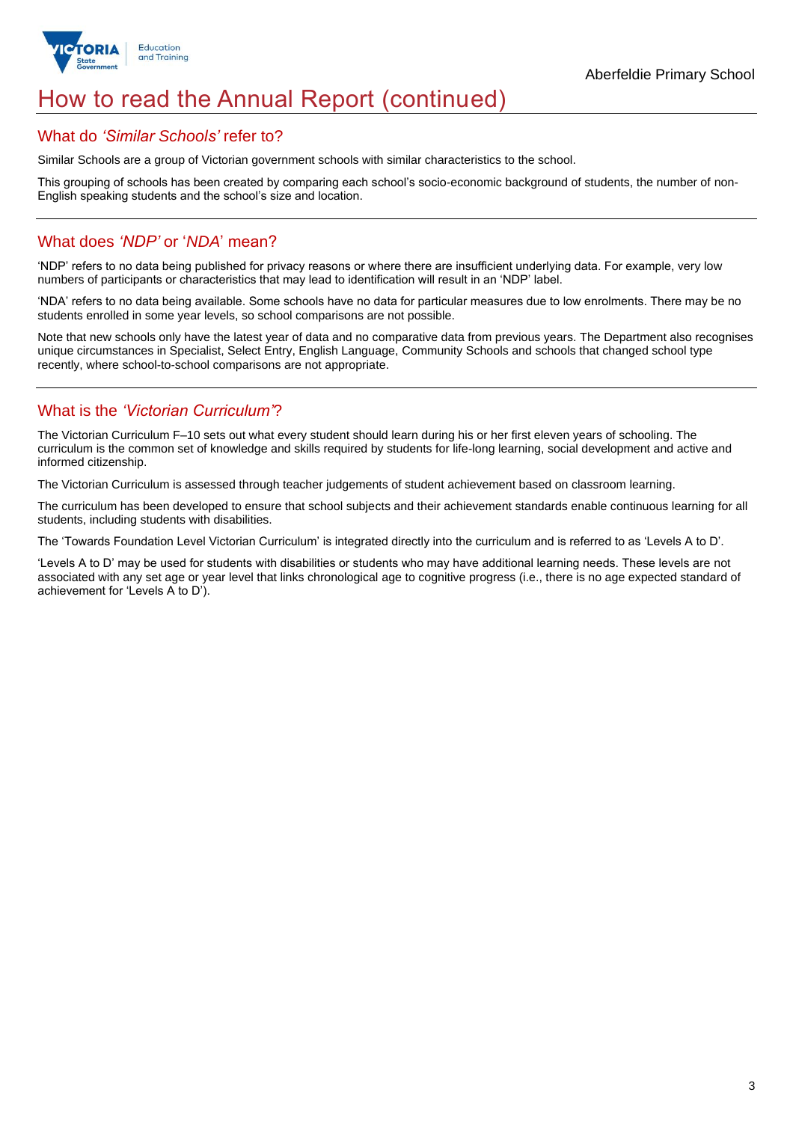

## How to read the Annual Report (continued)

#### What do *'Similar Schools'* refer to?

Similar Schools are a group of Victorian government schools with similar characteristics to the school.

This grouping of schools has been created by comparing each school's socio-economic background of students, the number of non-English speaking students and the school's size and location.

## What does *'NDP'* or '*NDA*' mean?

'NDP' refers to no data being published for privacy reasons or where there are insufficient underlying data. For example, very low numbers of participants or characteristics that may lead to identification will result in an 'NDP' label.

'NDA' refers to no data being available. Some schools have no data for particular measures due to low enrolments. There may be no students enrolled in some year levels, so school comparisons are not possible.

Note that new schools only have the latest year of data and no comparative data from previous years. The Department also recognises unique circumstances in Specialist, Select Entry, English Language, Community Schools and schools that changed school type recently, where school-to-school comparisons are not appropriate.

## What is the *'Victorian Curriculum'*?

The Victorian Curriculum F–10 sets out what every student should learn during his or her first eleven years of schooling. The curriculum is the common set of knowledge and skills required by students for life-long learning, social development and active and informed citizenship.

The Victorian Curriculum is assessed through teacher judgements of student achievement based on classroom learning.

The curriculum has been developed to ensure that school subjects and their achievement standards enable continuous learning for all students, including students with disabilities.

The 'Towards Foundation Level Victorian Curriculum' is integrated directly into the curriculum and is referred to as 'Levels A to D'.

'Levels A to D' may be used for students with disabilities or students who may have additional learning needs. These levels are not associated with any set age or year level that links chronological age to cognitive progress (i.e., there is no age expected standard of achievement for 'Levels A to D').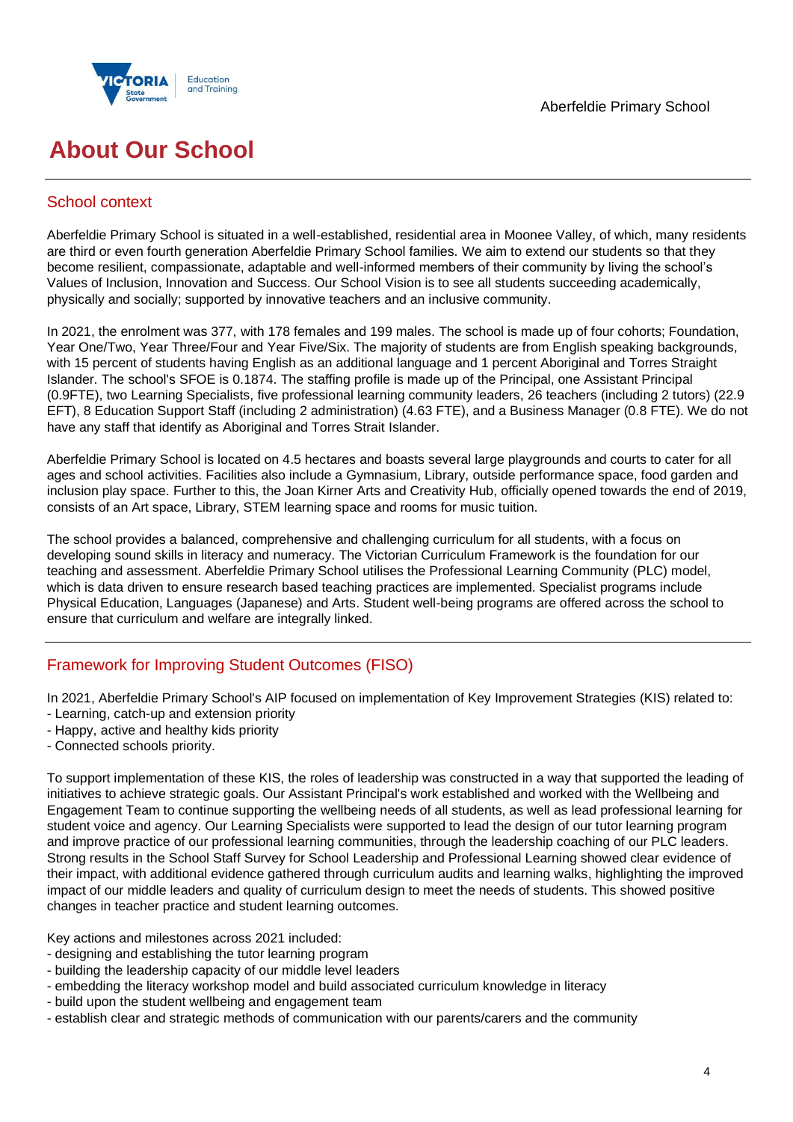

## **About Our School**

## School context

Aberfeldie Primary School is situated in a well-established, residential area in Moonee Valley, of which, many residents are third or even fourth generation Aberfeldie Primary School families. We aim to extend our students so that they become resilient, compassionate, adaptable and well-informed members of their community by living the school's Values of Inclusion, Innovation and Success. Our School Vision is to see all students succeeding academically, physically and socially; supported by innovative teachers and an inclusive community.

In 2021, the enrolment was 377, with 178 females and 199 males. The school is made up of four cohorts; Foundation, Year One/Two, Year Three/Four and Year Five/Six. The majority of students are from English speaking backgrounds, with 15 percent of students having English as an additional language and 1 percent Aboriginal and Torres Straight Islander. The school's SFOE is 0.1874. The staffing profile is made up of the Principal, one Assistant Principal (0.9FTE), two Learning Specialists, five professional learning community leaders, 26 teachers (including 2 tutors) (22.9 EFT), 8 Education Support Staff (including 2 administration) (4.63 FTE), and a Business Manager (0.8 FTE). We do not have any staff that identify as Aboriginal and Torres Strait Islander.

Aberfeldie Primary School is located on 4.5 hectares and boasts several large playgrounds and courts to cater for all ages and school activities. Facilities also include a Gymnasium, Library, outside performance space, food garden and inclusion play space. Further to this, the Joan Kirner Arts and Creativity Hub, officially opened towards the end of 2019, consists of an Art space, Library, STEM learning space and rooms for music tuition.

The school provides a balanced, comprehensive and challenging curriculum for all students, with a focus on developing sound skills in literacy and numeracy. The Victorian Curriculum Framework is the foundation for our teaching and assessment. Aberfeldie Primary School utilises the Professional Learning Community (PLC) model, which is data driven to ensure research based teaching practices are implemented. Specialist programs include Physical Education, Languages (Japanese) and Arts. Student well-being programs are offered across the school to ensure that curriculum and welfare are integrally linked.

## Framework for Improving Student Outcomes (FISO)

In 2021, Aberfeldie Primary School's AIP focused on implementation of Key Improvement Strategies (KIS) related to:

- Learning, catch-up and extension priority
- Happy, active and healthy kids priority
- Connected schools priority.

To support implementation of these KIS, the roles of leadership was constructed in a way that supported the leading of initiatives to achieve strategic goals. Our Assistant Principal's work established and worked with the Wellbeing and Engagement Team to continue supporting the wellbeing needs of all students, as well as lead professional learning for student voice and agency. Our Learning Specialists were supported to lead the design of our tutor learning program and improve practice of our professional learning communities, through the leadership coaching of our PLC leaders. Strong results in the School Staff Survey for School Leadership and Professional Learning showed clear evidence of their impact, with additional evidence gathered through curriculum audits and learning walks, highlighting the improved impact of our middle leaders and quality of curriculum design to meet the needs of students. This showed positive changes in teacher practice and student learning outcomes.

Key actions and milestones across 2021 included:

- designing and establishing the tutor learning program
- building the leadership capacity of our middle level leaders
- embedding the literacy workshop model and build associated curriculum knowledge in literacy
- build upon the student wellbeing and engagement team
- establish clear and strategic methods of communication with our parents/carers and the community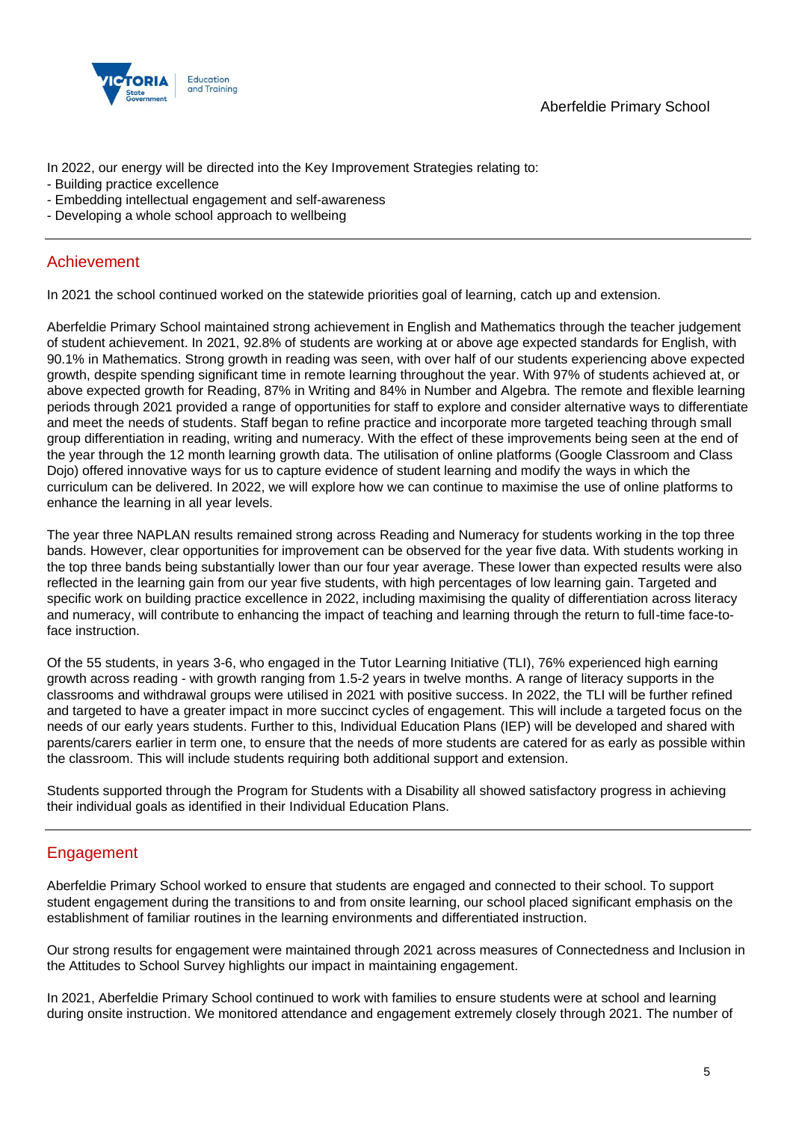

In 2022, our energy will be directed into the Key Improvement Strategies relating to:

- Building practice excellence
- Embedding intellectual engagement and self-awareness
- Developing a whole school approach to wellbeing

### Achievement

In 2021 the school continued worked on the statewide priorities goal of learning, catch up and extension.

Aberfeldie Primary School maintained strong achievement in English and Mathematics through the teacher judgement of student achievement. In 2021, 92.8% of students are working at or above age expected standards for English, with 90.1% in Mathematics. Strong growth in reading was seen, with over half of our students experiencing above expected growth, despite spending significant time in remote learning throughout the year. With 97% of students achieved at, or above expected growth for Reading, 87% in Writing and 84% in Number and Algebra. The remote and flexible learning periods through 2021 provided a range of opportunities for staff to explore and consider alternative ways to differentiate and meet the needs of students. Staff began to refine practice and incorporate more targeted teaching through small group differentiation in reading, writing and numeracy. With the effect of these improvements being seen at the end of the year through the 12 month learning growth data. The utilisation of online platforms (Google Classroom and Class Dojo) offered innovative ways for us to capture evidence of student learning and modify the ways in which the curriculum can be delivered. In 2022, we will explore how we can continue to maximise the use of online platforms to enhance the learning in all year levels.

The year three NAPLAN results remained strong across Reading and Numeracy for students working in the top three bands. However, clear opportunities for improvement can be observed for the year five data. With students working in the top three bands being substantially lower than our four year average. These lower than expected results were also reflected in the learning gain from our year five students, with high percentages of low learning gain. Targeted and specific work on building practice excellence in 2022, including maximising the quality of differentiation across literacy and numeracy, will contribute to enhancing the impact of teaching and learning through the return to full-time face-toface instruction.

Of the 55 students, in years 3-6, who engaged in the Tutor Learning Initiative (TLI), 76% experienced high earning growth across reading - with growth ranging from 1.5-2 years in twelve months. A range of literacy supports in the classrooms and withdrawal groups were utilised in 2021 with positive success. In 2022, the TLI will be further refined and targeted to have a greater impact in more succinct cycles of engagement. This will include a targeted focus on the needs of our early years students. Further to this, Individual Education Plans (IEP) will be developed and shared with parents/carers earlier in term one, to ensure that the needs of more students are catered for as early as possible within the classroom. This will include students requiring both additional support and extension.

Students supported through the Program for Students with a Disability all showed satisfactory progress in achieving their individual goals as identified in their Individual Education Plans.

## Engagement

Aberfeldie Primary School worked to ensure that students are engaged and connected to their school. To support student engagement during the transitions to and from onsite learning, our school placed significant emphasis on the establishment of familiar routines in the learning environments and differentiated instruction.

Our strong results for engagement were maintained through 2021 across measures of Connectedness and Inclusion in the Attitudes to School Survey highlights our impact in maintaining engagement.

In 2021, Aberfeldie Primary School continued to work with families to ensure students were at school and learning during onsite instruction. We monitored attendance and engagement extremely closely through 2021. The number of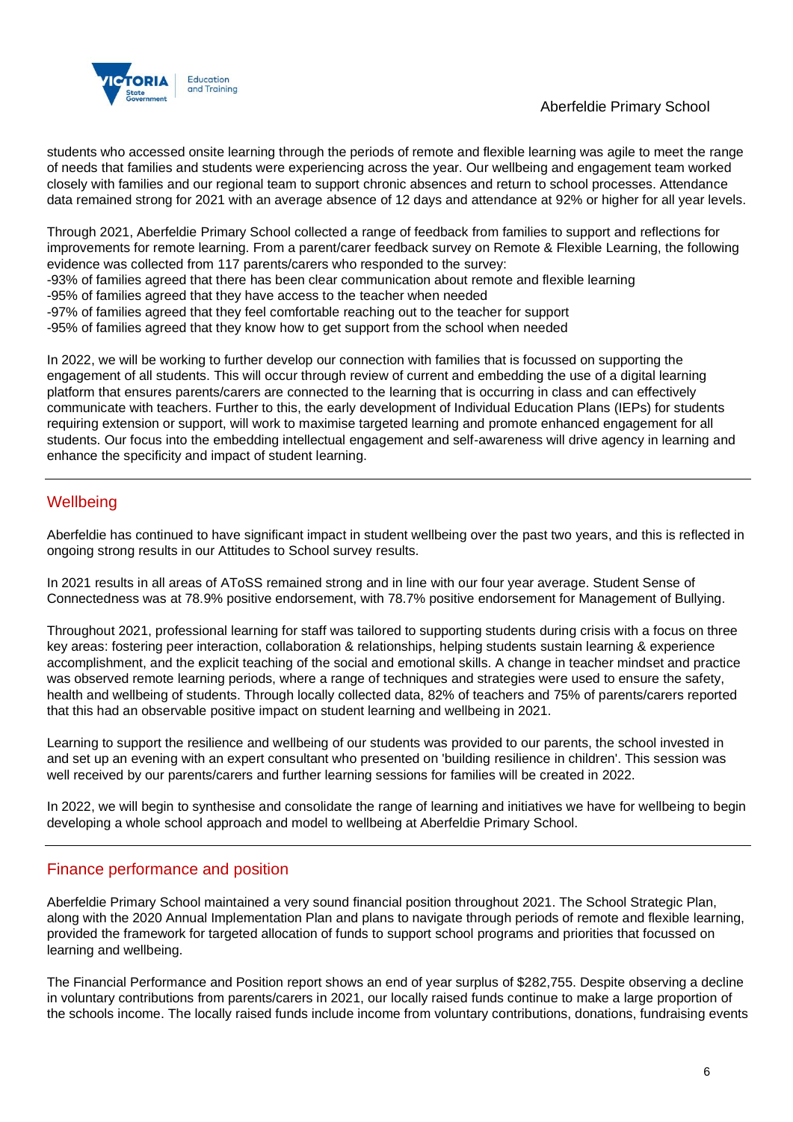

students who accessed onsite learning through the periods of remote and flexible learning was agile to meet the range of needs that families and students were experiencing across the year. Our wellbeing and engagement team worked closely with families and our regional team to support chronic absences and return to school processes. Attendance data remained strong for 2021 with an average absence of 12 days and attendance at 92% or higher for all year levels.

Through 2021, Aberfeldie Primary School collected a range of feedback from families to support and reflections for improvements for remote learning. From a parent/carer feedback survey on Remote & Flexible Learning, the following evidence was collected from 117 parents/carers who responded to the survey:

- -93% of families agreed that there has been clear communication about remote and flexible learning
- -95% of families agreed that they have access to the teacher when needed
- -97% of families agreed that they feel comfortable reaching out to the teacher for support
- -95% of families agreed that they know how to get support from the school when needed

In 2022, we will be working to further develop our connection with families that is focussed on supporting the engagement of all students. This will occur through review of current and embedding the use of a digital learning platform that ensures parents/carers are connected to the learning that is occurring in class and can effectively communicate with teachers. Further to this, the early development of Individual Education Plans (IEPs) for students requiring extension or support, will work to maximise targeted learning and promote enhanced engagement for all students. Our focus into the embedding intellectual engagement and self-awareness will drive agency in learning and enhance the specificity and impact of student learning.

### **Wellbeing**

Aberfeldie has continued to have significant impact in student wellbeing over the past two years, and this is reflected in ongoing strong results in our Attitudes to School survey results.

In 2021 results in all areas of AToSS remained strong and in line with our four year average. Student Sense of Connectedness was at 78.9% positive endorsement, with 78.7% positive endorsement for Management of Bullying.

Throughout 2021, professional learning for staff was tailored to supporting students during crisis with a focus on three key areas: fostering peer interaction, collaboration & relationships, helping students sustain learning & experience accomplishment, and the explicit teaching of the social and emotional skills. A change in teacher mindset and practice was observed remote learning periods, where a range of techniques and strategies were used to ensure the safety, health and wellbeing of students. Through locally collected data, 82% of teachers and 75% of parents/carers reported that this had an observable positive impact on student learning and wellbeing in 2021.

Learning to support the resilience and wellbeing of our students was provided to our parents, the school invested in and set up an evening with an expert consultant who presented on 'building resilience in children'. This session was well received by our parents/carers and further learning sessions for families will be created in 2022.

In 2022, we will begin to synthesise and consolidate the range of learning and initiatives we have for wellbeing to begin developing a whole school approach and model to wellbeing at Aberfeldie Primary School.

## Finance performance and position

Aberfeldie Primary School maintained a very sound financial position throughout 2021. The School Strategic Plan, along with the 2020 Annual Implementation Plan and plans to navigate through periods of remote and flexible learning, provided the framework for targeted allocation of funds to support school programs and priorities that focussed on learning and wellbeing.

The Financial Performance and Position report shows an end of year surplus of \$282,755. Despite observing a decline in voluntary contributions from parents/carers in 2021, our locally raised funds continue to make a large proportion of the schools income. The locally raised funds include income from voluntary contributions, donations, fundraising events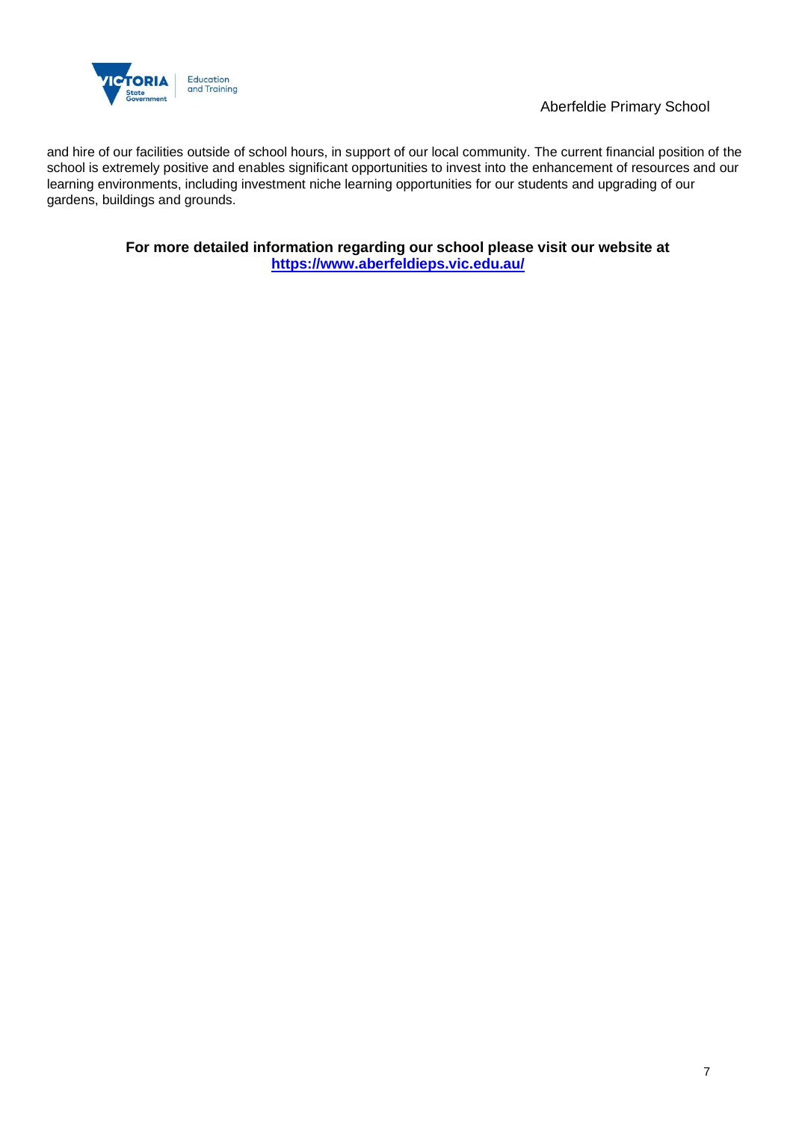

and hire of our facilities outside of school hours, in support of our local community. The current financial position of the school is extremely positive and enables significant opportunities to invest into the enhancement of resources and our learning environments, including investment niche learning opportunities for our students and upgrading of our gardens, buildings and grounds.

> **For more detailed information regarding our school please visit our website at <https://www.aberfeldieps.vic.edu.au/>**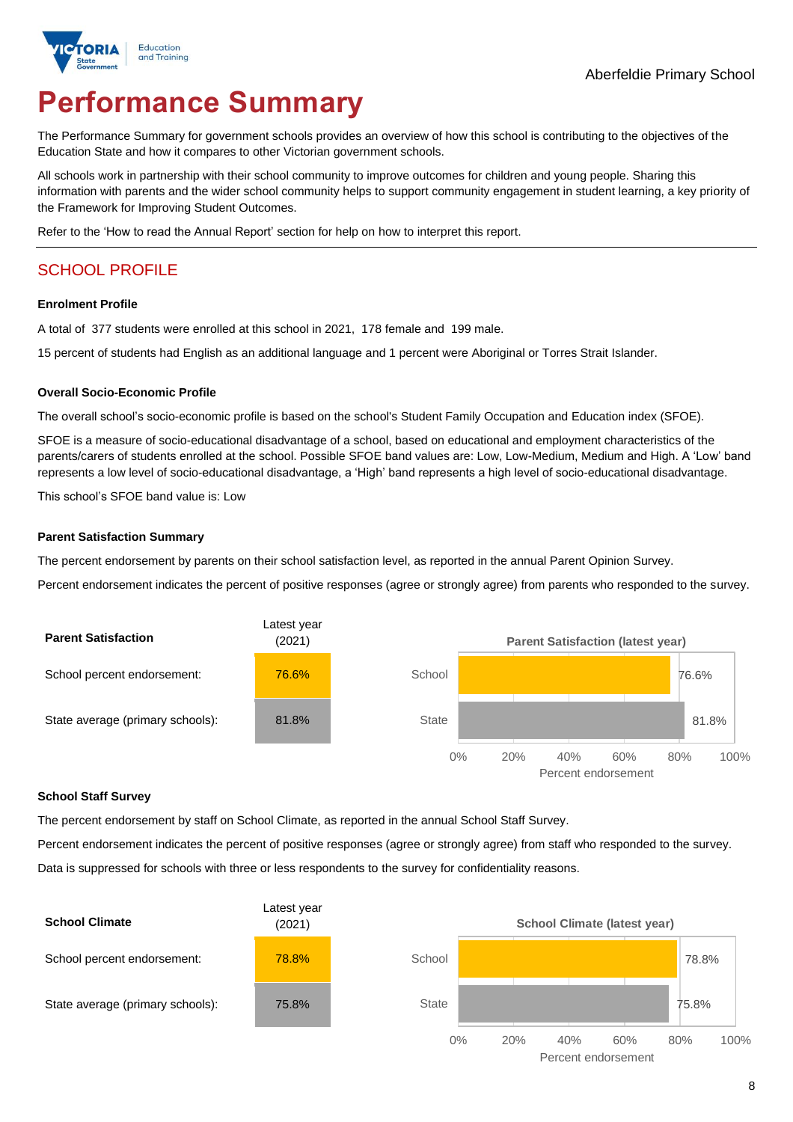

# **Performance Summary**

The Performance Summary for government schools provides an overview of how this school is contributing to the objectives of the Education State and how it compares to other Victorian government schools.

All schools work in partnership with their school community to improve outcomes for children and young people. Sharing this information with parents and the wider school community helps to support community engagement in student learning, a key priority of the Framework for Improving Student Outcomes.

Refer to the 'How to read the Annual Report' section for help on how to interpret this report.

## SCHOOL PROFILE

#### **Enrolment Profile**

A total of 377 students were enrolled at this school in 2021, 178 female and 199 male.

15 percent of students had English as an additional language and 1 percent were Aboriginal or Torres Strait Islander.

#### **Overall Socio-Economic Profile**

The overall school's socio-economic profile is based on the school's Student Family Occupation and Education index (SFOE).

SFOE is a measure of socio-educational disadvantage of a school, based on educational and employment characteristics of the parents/carers of students enrolled at the school. Possible SFOE band values are: Low, Low-Medium, Medium and High. A 'Low' band represents a low level of socio-educational disadvantage, a 'High' band represents a high level of socio-educational disadvantage.

This school's SFOE band value is: Low

#### **Parent Satisfaction Summary**

The percent endorsement by parents on their school satisfaction level, as reported in the annual Parent Opinion Survey.

Percent endorsement indicates the percent of positive responses (agree or strongly agree) from parents who responded to the survey.



#### **School Staff Survey**

The percent endorsement by staff on School Climate, as reported in the annual School Staff Survey.

Percent endorsement indicates the percent of positive responses (agree or strongly agree) from staff who responded to the survey.

Data is suppressed for schools with three or less respondents to the survey for confidentiality reasons.

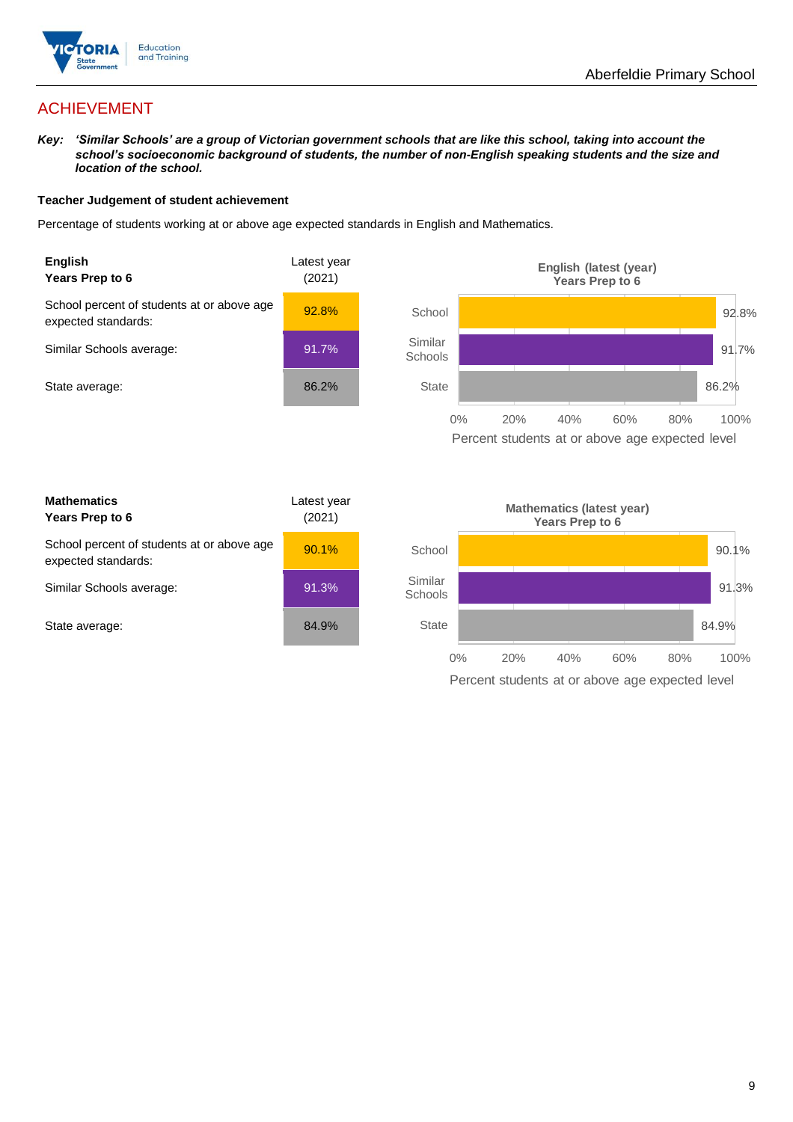

## ACHIEVEMENT

*Key: 'Similar Schools' are a group of Victorian government schools that are like this school, taking into account the school's socioeconomic background of students, the number of non-English speaking students and the size and location of the school.*

#### **Teacher Judgement of student achievement**

Percentage of students working at or above age expected standards in English and Mathematics.



**Mathematics Years Prep to 6** Latest year (2021) School percent of students at or above age expected standards: 90.1% Similar Schools average: 91.3% State average: 84.9%

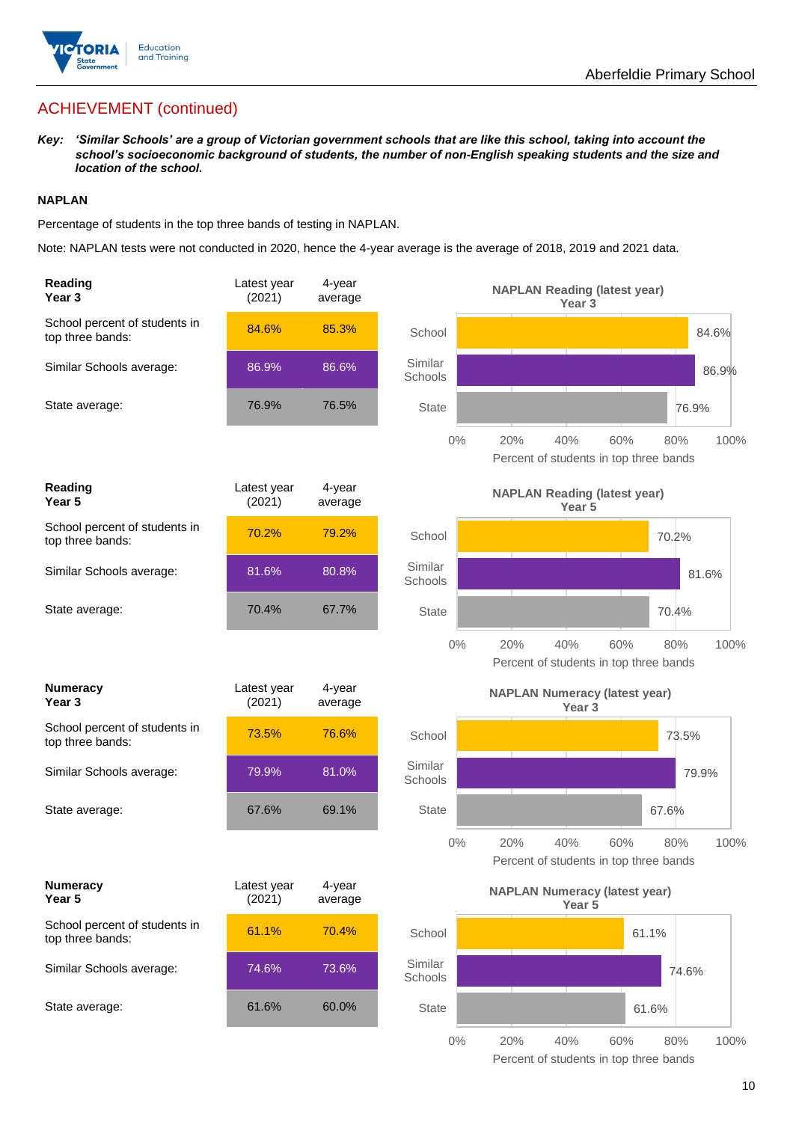

## ACHIEVEMENT (continued)

*Key: 'Similar Schools' are a group of Victorian government schools that are like this school, taking into account the school's socioeconomic background of students, the number of non-English speaking students and the size and location of the school.*

#### **NAPLAN**

Percentage of students in the top three bands of testing in NAPLAN.

Note: NAPLAN tests were not conducted in 2020, hence the 4-year average is the average of 2018, 2019 and 2021 data.

| Reading<br>Year <sub>3</sub>                      | Latest year<br>(2021) | 4-year<br>average |                                                           | <b>NAPLAN Reading (latest year)</b><br>Year <sub>3</sub> |                                                              |
|---------------------------------------------------|-----------------------|-------------------|-----------------------------------------------------------|----------------------------------------------------------|--------------------------------------------------------------|
| School percent of students in<br>top three bands: | 84.6%                 | 85.3%             | School                                                    |                                                          | 84.6%                                                        |
| Similar Schools average:                          | 86.9%                 | 86.6%             | Similar<br>Schools                                        |                                                          | 86.9%                                                        |
| State average:                                    | 76.9%                 | 76.5%             | State                                                     |                                                          | 76.9%                                                        |
|                                                   |                       |                   | $0\%$                                                     | 20%<br>40%                                               | 60%<br>80%<br>100%<br>Percent of students in top three bands |
| <b>Reading</b><br>Year <sub>5</sub>               | Latest year<br>(2021) | 4-year<br>average |                                                           | <b>NAPLAN Reading (latest year)</b><br>Year 5            |                                                              |
| School percent of students in<br>top three bands: | 70.2%                 | 79.2%             | School                                                    |                                                          | 70.2%                                                        |
| Similar Schools average:                          | 81.6%                 | 80.8%             | Similar<br>Schools                                        |                                                          | 81.6%                                                        |
| State average:                                    | 70.4%                 | 67.7%             | <b>State</b>                                              |                                                          | 70.4%                                                        |
|                                                   |                       |                   | $0\%$                                                     | 20%<br>40%                                               | 60%<br>80%<br>100%<br>Percent of students in top three bands |
| <b>Numeracy</b><br>Year <sub>3</sub>              | Latest year<br>(2021) | 4-year<br>average | <b>NAPLAN Numeracy (latest year)</b><br>Year <sub>3</sub> |                                                          |                                                              |
| School percent of students in<br>top three bands: | 73.5%                 | 76.6%             | School                                                    |                                                          | 73.5%                                                        |
| Similar Schools average:                          | 79.9%                 | 81.0%             | Similar<br>Schools                                        |                                                          | 79.9%                                                        |
| State average:                                    | 67.6%                 | 69.1%             | <b>State</b>                                              |                                                          | 67.6%                                                        |
|                                                   |                       |                   | $0\%$                                                     | 20%<br>40%<br>Percent of students in top three bands     | 100%<br>60%<br>80%                                           |
| <b>Numeracy</b><br>Year 5                         | Latest year<br>(2021) | 4-year<br>average |                                                           | <b>NAPLAN Numeracy (latest year)</b><br>Year 5           |                                                              |
| School percent of students in<br>top three bands: | 61.1%                 | 70.4%             | School                                                    |                                                          | 61.1%                                                        |
| Similar Schools average:                          | 74.6%                 | 73.6%             | Similar<br>Schools                                        |                                                          | 74.6%                                                        |
| State average:                                    | 61.6%                 | 60.0%             | State                                                     |                                                          | 61.6%                                                        |
|                                                   |                       |                   |                                                           |                                                          |                                                              |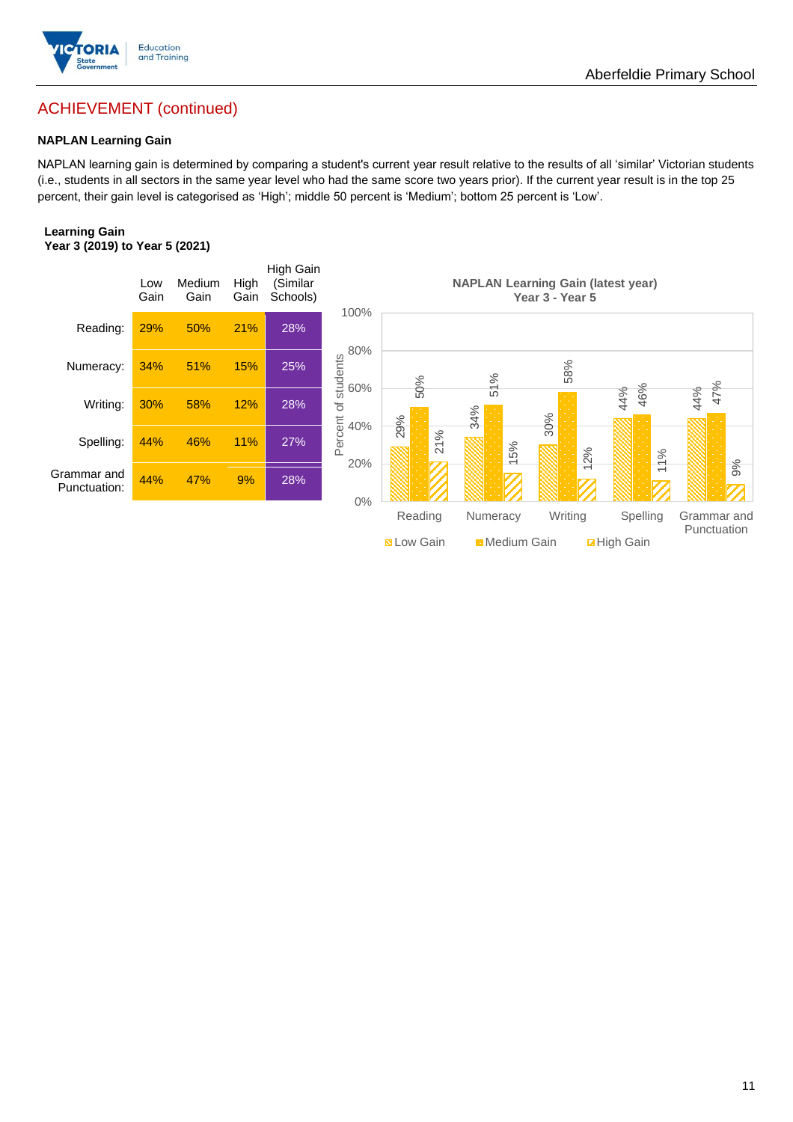

## ACHIEVEMENT (continued)

#### **NAPLAN Learning Gain**

NAPLAN learning gain is determined by comparing a student's current year result relative to the results of all 'similar' Victorian students (i.e., students in all sectors in the same year level who had the same score two years prior). If the current year result is in the top 25 percent, their gain level is categorised as 'High'; middle 50 percent is 'Medium'; bottom 25 percent is 'Low'.

#### **Learning Gain Year 3 (2019) to Year 5 (2021)**



Aberfeldie Primary School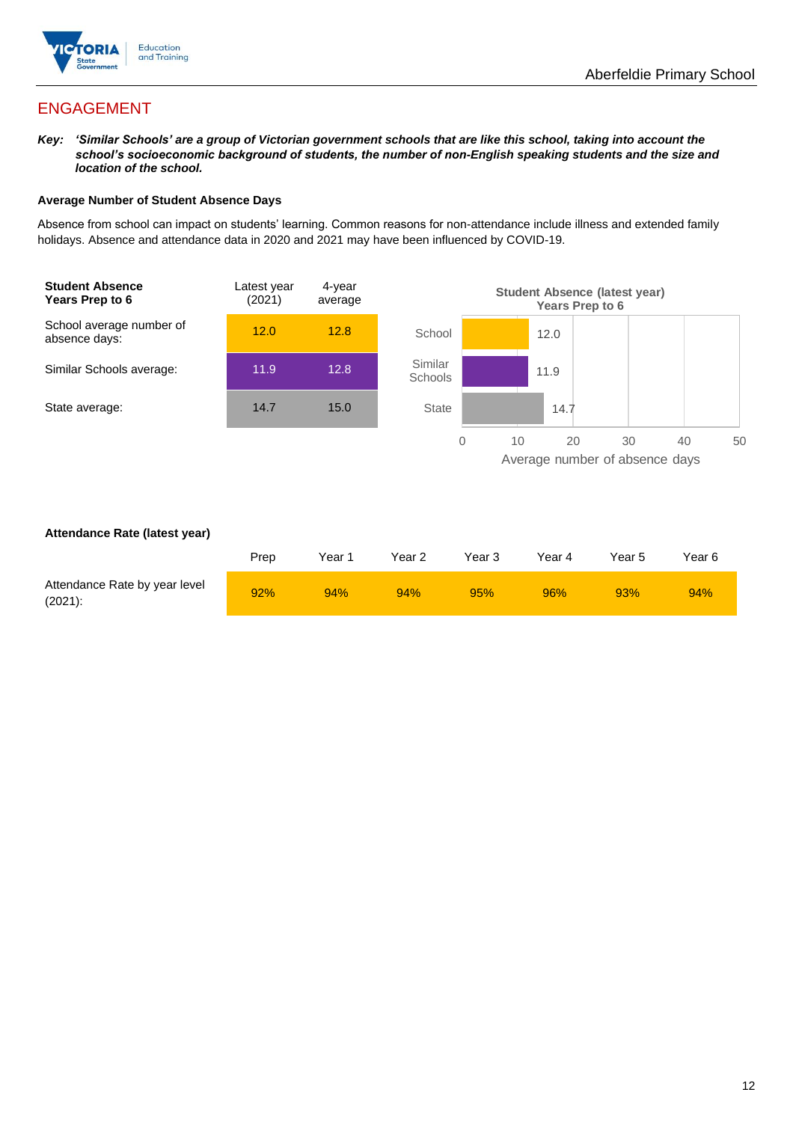

## ENGAGEMENT

*Key: 'Similar Schools' are a group of Victorian government schools that are like this school, taking into account the school's socioeconomic background of students, the number of non-English speaking students and the size and location of the school.*

#### **Average Number of Student Absence Days**

Absence from school can impact on students' learning. Common reasons for non-attendance include illness and extended family holidays. Absence and attendance data in 2020 and 2021 may have been influenced by COVID-19.

![](_page_11_Figure_6.jpeg)

#### **Attendance Rate (latest year)**

|                                             | Prep | Year 1 | Year 2 | Year 3 | Year 4 | Year 5 | Year 6 |
|---------------------------------------------|------|--------|--------|--------|--------|--------|--------|
| Attendance Rate by year level<br>$(2021)$ : | 92%  | 94%    | 94%    | 95%    | 96%    | 93%    | 94%    |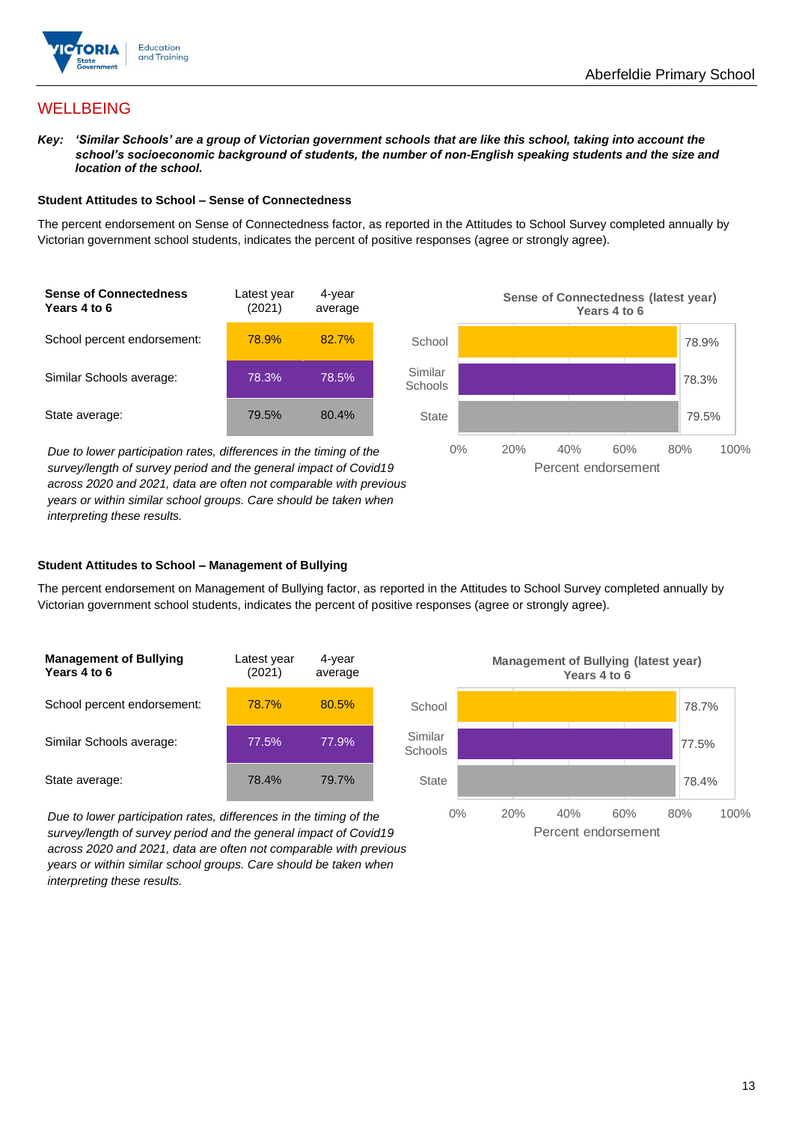![](_page_12_Picture_1.jpeg)

## **WELLBEING**

*Key: 'Similar Schools' are a group of Victorian government schools that are like this school, taking into account the school's socioeconomic background of students, the number of non-English speaking students and the size and location of the school.*

#### **Student Attitudes to School – Sense of Connectedness**

The percent endorsement on Sense of Connectedness factor, as reported in the Attitudes to School Survey completed annually by Victorian government school students, indicates the percent of positive responses (agree or strongly agree).

![](_page_12_Figure_6.jpeg)

*Due to lower participation rates, differences in the timing of the survey/length of survey period and the general impact of Covid19 across 2020 and 2021, data are often not comparable with previous years or within similar school groups. Care should be taken when interpreting these results.*

![](_page_12_Figure_8.jpeg)

#### **Student Attitudes to School – Management of Bullying**

The percent endorsement on Management of Bullying factor, as reported in the Attitudes to School Survey completed annually by Victorian government school students, indicates the percent of positive responses (agree or strongly agree).

| <b>Management of Bullying</b><br>Years 4 to 6 | Latest year<br>(2021) | 4-year<br>average |  |
|-----------------------------------------------|-----------------------|-------------------|--|
| School percent endorsement:                   | 78.7%                 | 80.5%             |  |
| Similar Schools average:                      | 77.5%                 | 77.9%             |  |
| State average:                                | 78.4%                 | 79.7%             |  |

*Due to lower participation rates, differences in the timing of the survey/length of survey period and the general impact of Covid19 across 2020 and 2021, data are often not comparable with previous years or within similar school groups. Care should be taken when interpreting these results.*

![](_page_12_Figure_13.jpeg)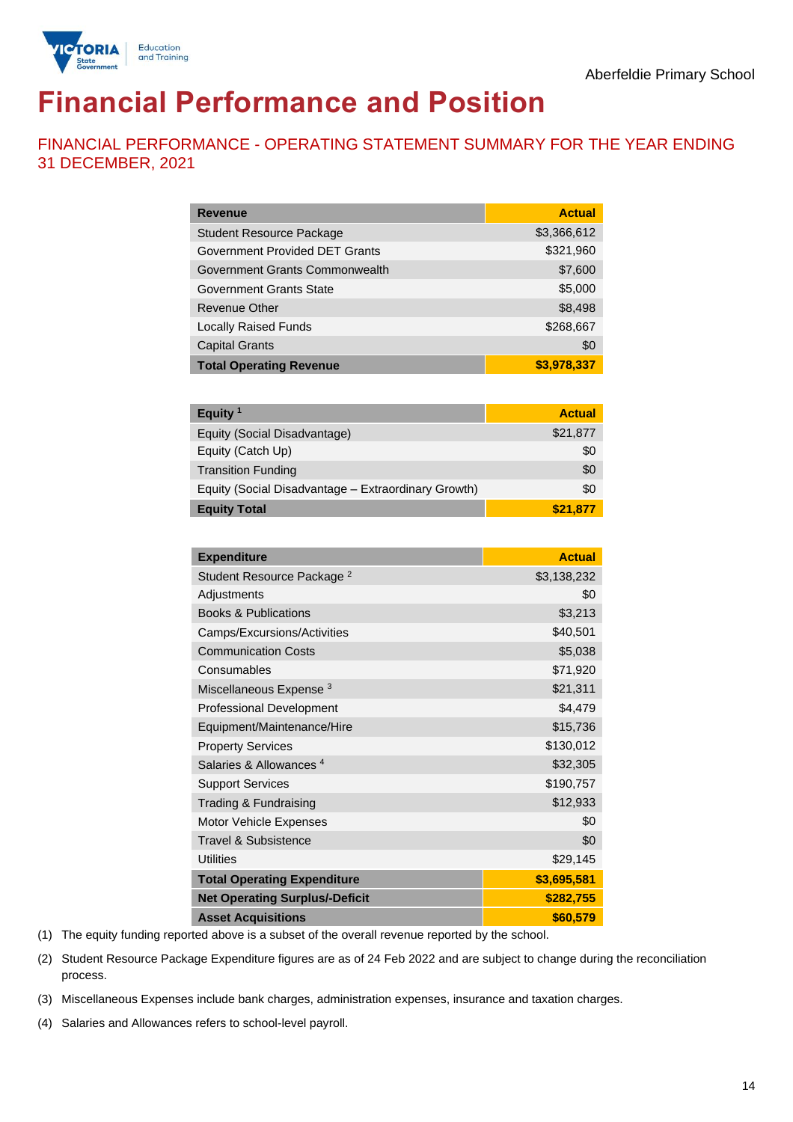![](_page_13_Picture_1.jpeg)

## **Financial Performance and Position**

FINANCIAL PERFORMANCE - OPERATING STATEMENT SUMMARY FOR THE YEAR ENDING 31 DECEMBER, 2021

| <b>Revenue</b>                  | <b>Actual</b> |
|---------------------------------|---------------|
| <b>Student Resource Package</b> | \$3,366,612   |
| Government Provided DET Grants  | \$321,960     |
| Government Grants Commonwealth  | \$7,600       |
| <b>Government Grants State</b>  | \$5,000       |
| <b>Revenue Other</b>            | \$8,498       |
| <b>Locally Raised Funds</b>     | \$268,667     |
| <b>Capital Grants</b>           | \$0           |
| <b>Total Operating Revenue</b>  | \$3,978,337   |

| Equity <sup>1</sup>                                 | <b>Actual</b> |
|-----------------------------------------------------|---------------|
| Equity (Social Disadvantage)                        | \$21,877      |
| Equity (Catch Up)                                   | \$0           |
| <b>Transition Funding</b>                           | \$0           |
| Equity (Social Disadvantage - Extraordinary Growth) | \$0           |
| <b>Equity Total</b>                                 | \$21,877      |

| <b>Expenditure</b>                    | <b>Actual</b> |
|---------------------------------------|---------------|
| Student Resource Package <sup>2</sup> | \$3,138,232   |
| Adjustments                           | \$0           |
| <b>Books &amp; Publications</b>       | \$3,213       |
| Camps/Excursions/Activities           | \$40,501      |
| <b>Communication Costs</b>            | \$5,038       |
| Consumables                           | \$71,920      |
| Miscellaneous Expense <sup>3</sup>    | \$21,311      |
| <b>Professional Development</b>       | \$4,479       |
| Equipment/Maintenance/Hire            | \$15,736      |
| <b>Property Services</b>              | \$130,012     |
| Salaries & Allowances <sup>4</sup>    | \$32,305      |
| <b>Support Services</b>               | \$190,757     |
| Trading & Fundraising                 | \$12,933      |
| Motor Vehicle Expenses                | \$0           |
| <b>Travel &amp; Subsistence</b>       | \$0           |
| <b>Utilities</b>                      | \$29,145      |
| <b>Total Operating Expenditure</b>    | \$3,695,581   |
| <b>Net Operating Surplus/-Deficit</b> | \$282,755     |
| <b>Asset Acquisitions</b>             | \$60,579      |

(1) The equity funding reported above is a subset of the overall revenue reported by the school.

(2) Student Resource Package Expenditure figures are as of 24 Feb 2022 and are subject to change during the reconciliation process.

(3) Miscellaneous Expenses include bank charges, administration expenses, insurance and taxation charges.

(4) Salaries and Allowances refers to school-level payroll.